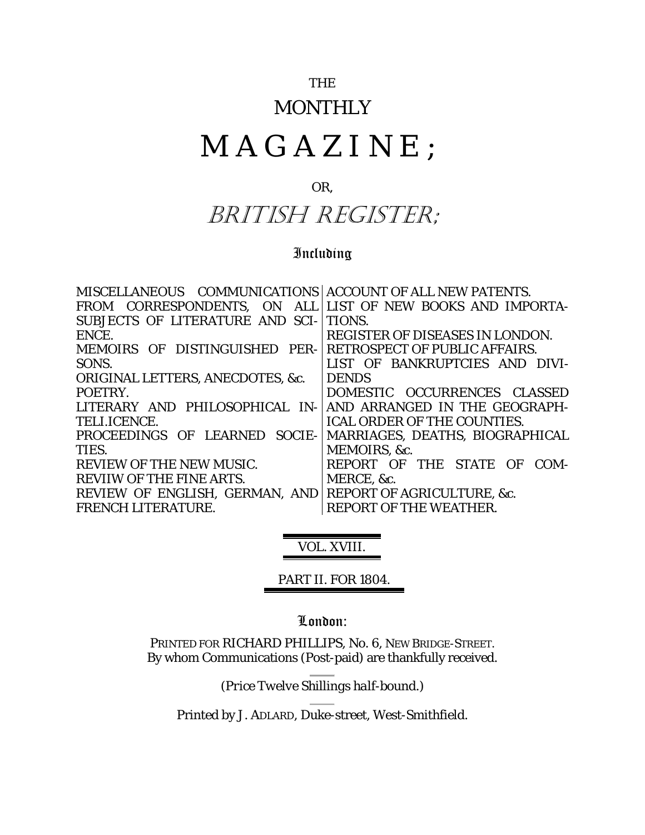### THE

### **MONTHLY**

# MAGAZINE ;

### OR,

## BRITISH REGISTER;

### Including

| MISCELLANEOUS COMMUNICATIONS   ACCOUNT OF ALL NEW PATENTS. |                                        |
|------------------------------------------------------------|----------------------------------------|
| FROM CORRESPONDENTS, ON ALL LIST OF NEW BOOKS AND IMPORTA- |                                        |
| SUBJECTS OF LITERATURE AND SCI-                            | TIONS.                                 |
| ENCE.                                                      | <b>REGISTER OF DISEASES IN LONDON.</b> |
| MEMOIRS OF DISTINGUISHED PER-                              | <b>RETROSPECT OF PUBLIC AFFAIRS.</b>   |
| SONS.                                                      | LIST OF BANKRUPTCIES AND DIVI-         |
| <b>ORIGINAL LETTERS, ANECDOTES, &amp;c.</b>                | <b>DENDS</b>                           |
| POETRY.                                                    | DOMESTIC OCCURRENCES CLASSED           |
| LITERARY AND PHILOSOPHICAL IN-                             | AND ARRANGED IN THE GEOGRAPH-          |
| TELI.ICENCE.                                               | <b>ICAL ORDER OF THE COUNTIES.</b>     |
| PROCEEDINGS OF LEARNED<br>SOCIE-                           | MARRIAGES, DEATHS, BIOGRAPHICAL        |
| TIES.                                                      | MEMOIRS, &c.                           |
| <b>REVIEW OF THE NEW MUSIC.</b>                            | REPORT OF THE STATE OF<br>COM-         |
| <b>REVIIW OF THE FINE ARTS.</b>                            | MERCE, &c.                             |
| REVIEW OF ENGLISH, GERMAN, AND                             | REPORT OF AGRICULTURE, &c.             |
| <b>FRENCH LITERATURE.</b>                                  | <b>REPORT OF THE WEATHER.</b>          |
|                                                            |                                        |

### VOL. XVIII.

### PART II. FOR 1804.

#### London:

PRINTED FOR RICHARD PHILLIPS, No. 6, NEW BRIDGE-STREET. By whom Communications (Post-paid) are thankfully received.

(*Price Twelve Shillings half-bound*.)

Printed by J. ADLARD, Duke-street, West-Smithfield.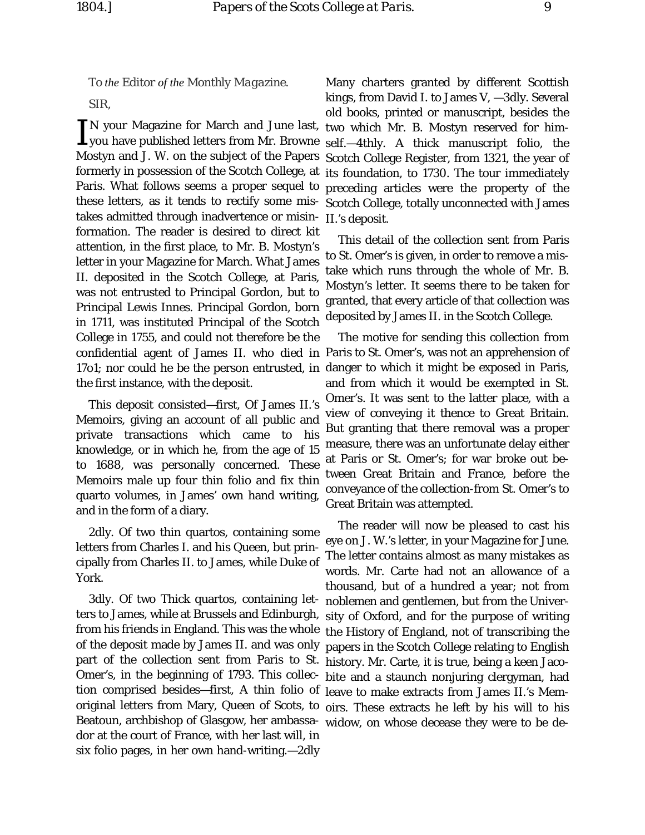*To the Editor of the Monthly Magazine.* SIR,

N your Magazine for March and June last, IN your Magazine for March and June last,<br>Lyou have published letters from Mr. Browne Mostyn and J. W. on the subject of the Papers formerly in possession of the Scotch College, at its foundation, to 1730. The tour immediately Paris. What follows seems a proper sequel to these letters, as it tends to rectify some mistakes admitted through inadvertence or misinformation. The reader is desired to direct kit attention, in the first place, to Mr. B. Mostyn's letter in your Magazine for March. What James II. deposited in the Scotch College, at Paris, was not entrusted to Principal Gordon, but to Principal Lewis Innes. Principal Gordon, born in 1711, was instituted Principal of the Scotch College in 1755, and could not therefore be the the first instance, with the deposit.

This deposit consisted—first, Of James II.'s Memoirs, giving an account of all public and private transactions which came to his knowledge, or in which he, from the age of 15 to 1688, was personally concerned. These Memoirs male up four thin folio and fix thin quarto volumes, in James' own hand writing, and in the form of a diary.

2dly. Of two thin quartos, containing some letters from Charles I. and his Queen, but principally from Charles II. to James, while Duke of York.

3dly. Of two Thick quartos, containing letters to James, while at Brussels and Edinburgh, from his friends in England. This was the whole the History of England, not of transcribing the of the deposit made by James II. and was only part of the collection sent from Paris to St. history. Mr. Carte, it is true, being a keen Jaco-Omer's, in the beginning of 1793. This collec-bite and a staunch nonjuring clergyman, had tion comprised besides—first, A thin folio of leave to make extracts from James II.'s Memoriginal letters from Mary, Queen of Scots, to oirs. These extracts he left by his will to his Beatoun, archbishop of Glasgow, her ambassa-widow, on whose decease they were to be dedor at the court of France, with her last will, in six folio pages, in her own hand-writing.—2dly

Many charters granted by different Scottish kings, from David I. to James V, —3dly. Several old books, printed or manuscript, besides the two which Mr. B. Mostyn reserved for himself.—4thly. A thick manuscript folio, the Scotch College Register, from 1321, the year of preceding articles were the property of the Scotch College, totally unconnected with James II.'s deposit.

This detail of the collection sent from Paris to St. Omer's is given, in order to remove a mistake which runs through the whole of Mr. B. Mostyn's letter. It seems there to be taken for granted, that every article of that collection was deposited by James II. in the Scotch College.

confidential agent of James II. who died in Paris to St. Omer's, was not an apprehension of 17o1; nor could he be the person entrusted, in danger to which it might be exposed in Paris, The motive for sending this collection from and from which it would be exempted in St. Omer's. It was sent to the latter place, with a view of conveying it thence to Great Britain. But granting that there removal was a proper measure, there was an unfortunate delay either at Paris or St. Omer's; for war broke out between Great Britain and France, before the conveyance of the collection-from St. Omer's to Great Britain was attempted.

> The reader will now be pleased to cast his eye on J. W.'s letter, in your Magazine for June. The letter contains almost as many mistakes as words. Mr. Carte had not an allowance of a thousand, but of a hundred a year; not from noblemen and gentlemen, but from the University of Oxford, and for the purpose of writing papers in the Scotch College relating to English